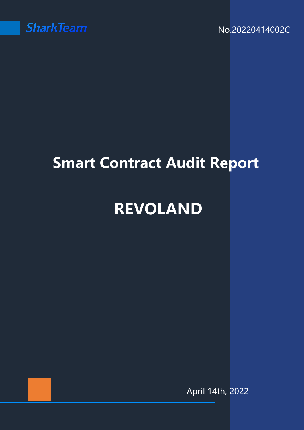

No.20220414002C

# **Smart Contract Audit Report**

# **REVOLAND**

April 14th, 2022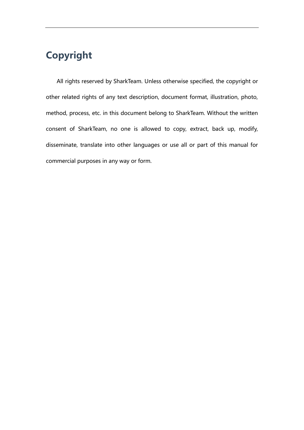## **Copyright**

All rights reserved by SharkTeam. Unless otherwise specified, the copyright or other related rights of any text description, document format, illustration, photo, method, process, etc. in this document belong to SharkTeam. Without the written consent of SharkTeam, no one is allowed to copy, extract, back up, modify, disseminate, translate into other languages or use all or part of this manual for commercial purposes in any way or form.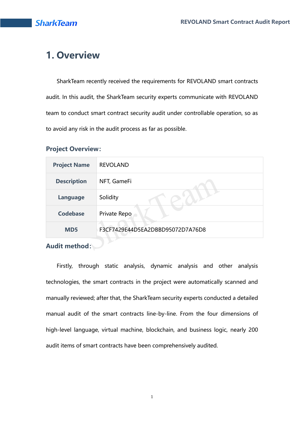## **1. Overview**

SharkTeam recently received the requirements for REVOLAND smart contracts audit. In this audit, the SharkTeam security experts communicate with REVOLAND team to conduct smart contract security audit under controllable operation, so as to avoid any risk in the audit process as far as possible.

#### **Project Overview:**

| <b>Project Name</b> | <b>REVOLAND</b>                  |
|---------------------|----------------------------------|
| <b>Description</b>  | NFT, GameFi                      |
| Language            | Solidity                         |
| <b>Codebase</b>     | Private Repo                     |
| MD <sub>5</sub>     | F3CF7429E44D5EA2DBBD95072D7A76D8 |

# **Audit method:**

Firstly, through static analysis, dynamic analysis and other analysis technologies, the smart contracts in the project were automatically scanned and manually reviewed; after that, the SharkTeam security experts conducted a detailed manual audit of the smart contracts line-by-line. From the four dimensions of high-level language, virtual machine, blockchain, and business logic, nearly 200 audit items of smart contracts have been comprehensively audited.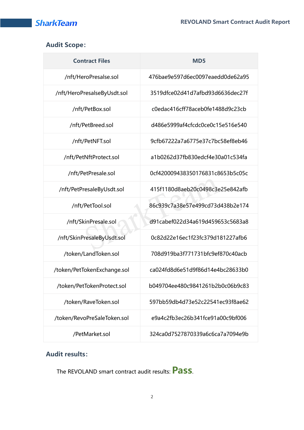#### **Audit Scope:**

| <b>Contract Files</b>       | M <sub>D</sub> <sub>5</sub>      |
|-----------------------------|----------------------------------|
| /nft/HeroPresalse.sol       | 476bae9e597d6ec0097eaedd0de62a95 |
| /nft/HeroPresalseByUsdt.sol | 3519dfce02d41d7afbd93d6636dec27f |
| /nft/PetBox.sol             | c0edac416cff78aceb0fe1488d9c23cb |
| /nft/PetBreed.sol           | d486e5999af4cfcdc0ce0c15e516e540 |
| /nft/PetNFT.sol             | 9cfb67222a7a6775e37c7bc58ef8eb46 |
| /nft/PetNftProtect.sol      | a1b0262d37fb830edcf4e30a01c534fa |
| /nft/PetPresale.sol         | 0cf420009438350176831c8653b5c05c |
| /nft/PetPresaleByUsdt.sol   | 415f1180d8aeb20c0498c3e25e842afb |
| /nft/PetTool.sol            | 86c939c7a38e57e499cd73d438b2e174 |
| /nft/SkinPresale.sol        | d91cabef022d34a619d459653c5683a8 |
| /nft/SkinPresaleByUsdt.sol  | 0c82d22e16ec1f23fc379d181227afb6 |
| /token/LandToken.sol        | 708d919ba3f771731bfc9ef870c40acb |
| /token/PetTokenExchange.sol | ca024fd8d6e51d9f86d14e4bc28633b0 |
| /token/PetTokenProtect.sol  | b049704ee480c9841261b2b0c06b9c83 |
| /token/RaveToken.sol        | 597bb59db4d73e52c22541ec93f8ae62 |
| /token/RevoPreSaleToken.sol | e9a4c2fb3ec26b341fce91a00c9bf006 |
| /PetMarket.sol              | 324ca0d7527870339a6c6ca7a7094e9b |

#### **Audit results:**

The REVOLAND smart contract audit results: **Pass**.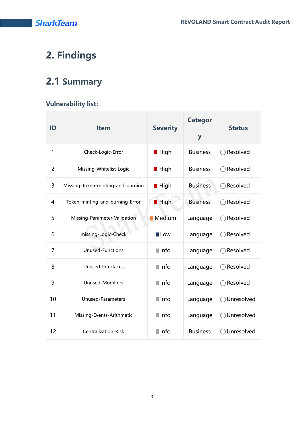## **2. Findings**

## **2.1 Summary**

#### **Vulnerability list:**

| ID             | <b>Item</b>                       | <b>Severity</b>     | <b>Categor</b><br>y | <b>Status</b>                               |
|----------------|-----------------------------------|---------------------|---------------------|---------------------------------------------|
| 1              | Check-Logic-Error                 | <b>■ High</b>       | <b>Business</b>     | <b>D</b> Resolved                           |
| $\overline{2}$ | Missing-Whitelist-Logic           | <b>■ High</b>       | <b>Business</b>     | <b>①</b> Resolved                           |
| 3              | Missing-Token-minting-and-burning | <b>■ High</b>       | <b>Business</b>     | Resolved<br>$\left( \left  \right. \right)$ |
| 4              | Token-minting-and-burning-Error   | <b>High</b>         | <b>Business</b>     | <b>①</b> Resolved                           |
| 5              | Missing-Parameter-Validation      | <b>Medium</b>       | Language            | Resolved<br>⊕                               |
| 6              | missing-Logic-Check               | <b>Low</b>          | Language            | Resolved<br>$\left( \left  \right. \right)$ |
| 7              | <b>Unused-Functions</b>           | $\blacksquare$ Info | Language            | Resolved<br>$\left( \left  \right. \right)$ |
| 8              | Unused-Interfaces                 | $\blacksquare$ Info | Language            | <b>O</b> Resolved                           |
| 9              | <b>Unused-Modifiers</b>           | $\blacksquare$ Info | Language            | Resolved<br>$\left( \left  \right. \right)$ |
| 10             | <b>Unused-Parameters</b>          | $\blacksquare$ Info | Language            | <b><i>O</i></b> Unresolved                  |
| 11             | Missing-Events-Arithmetic         | $\blacksquare$ Info | Language            | <b><i>O</i></b> Unresolved                  |
| 12             | <b>Centralization-Risk</b>        | $\blacksquare$ Info | <b>Business</b>     | <b><i>O</i></b> Unresolved                  |

3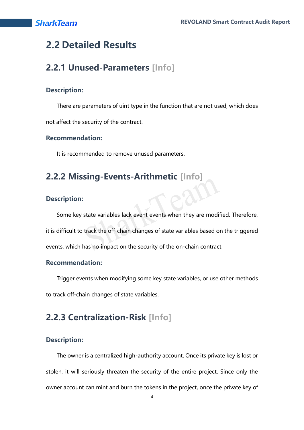## **2.2 Detailed Results**

## **2.2.1 Unused-Parameters [Info]**

#### **Description:**

There are parameters of uint type in the function that are not used, which does

not affect the security of the contract.

#### **Recommendation:**

It is recommended to remove unused parameters.

## **2.2.2 Missing-Events-Arithmetic [Info]**

#### **Description:**

Some key state variables lack event events when they are modified. Therefore, it is difficult to track the off-chain changes of state variables based on the triggered events, which has no impact on the security of the on-chain contract.

#### **Recommendation:**

Trigger events when modifying some key state variables, or use other methods to track off-chain changes of state variables.

## **2.2.3 Centralization-Risk [Info]**

#### **Description:**

The owner is a centralized high-authority account. Once its private key is lost or stolen, it will seriously threaten the security of the entire project. Since only the owner account can mint and burn the tokens in the project, once the private key of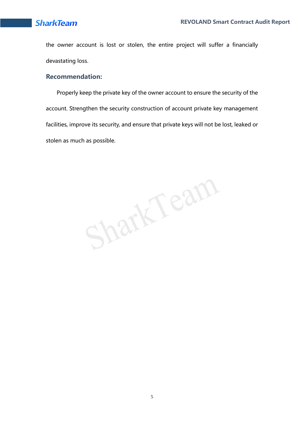the owner account is lost or stolen, the entire project will suffer a financially devastating loss.

#### **Recommendation:**

Properly keep the private key of the owner account to ensure the security of the account. Strengthen the security construction of account private key management facilities, improve its security, and ensure that private keys will not be lost, leaked or stolen as much as possible.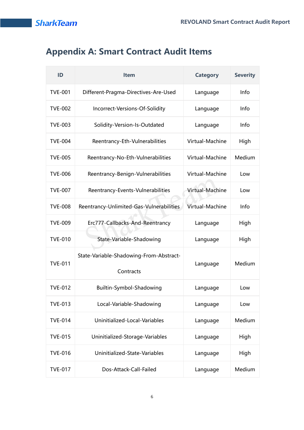## **Appendix A: Smart Contract Audit Items**

| ID             | <b>Item</b>                                          | <b>Category</b> | <b>Severity</b> |
|----------------|------------------------------------------------------|-----------------|-----------------|
| <b>TVE-001</b> | Different-Pragma-Directives-Are-Used                 | Language        | Info            |
| <b>TVE-002</b> | Incorrect-Versions-Of-Solidity                       | Language        | Info            |
| <b>TVE-003</b> | Solidity-Version-Is-Outdated                         | Language        | Info            |
| <b>TVE-004</b> | Reentrancy-Eth-Vulnerabilities                       | Virtual-Machine | High            |
| <b>TVE-005</b> | Reentrancy-No-Eth-Vulnerabilities                    | Virtual-Machine | Medium          |
| <b>TVE-006</b> | Reentrancy-Benign-Vulnerabilities                    | Virtual-Machine | Low             |
| <b>TVE-007</b> | Reentrancy-Events-Vulnerabilities                    | Virtual-Machine | Low             |
| <b>TVE-008</b> | Reentrancy-Unlimited-Gas-Vulnerabilities             | Virtual-Machine | Info            |
| <b>TVE-009</b> | Erc777-Callbacks-And-Reentrancy                      | Language        | High            |
| <b>TVE-010</b> | State-Variable-Shadowing                             | Language        | High            |
| <b>TVE-011</b> | State-Variable-Shadowing-From-Abstract-<br>Contracts | Language        | Medium          |
| <b>TVE-012</b> | Builtin-Symbol-Shadowing                             | Language        | Low             |
| <b>TVE-013</b> | Local-Variable-Shadowing                             | Language        | Low             |
| <b>TVE-014</b> | Uninitialized-Local-Variables                        | Language        | Medium          |
| <b>TVE-015</b> | Uninitialized-Storage-Variables                      | Language        | High            |
| <b>TVE-016</b> | Uninitialized-State-Variables                        | Language        | High            |
| <b>TVE-017</b> | Dos-Attack-Call-Failed                               | Language        | Medium          |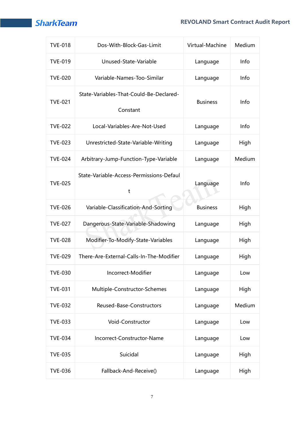#### **REVOLAND Smart Contract Audit Report**

| <b>TVE-018</b> | Dos-With-Block-Gas-Limit                            | Virtual-Machine | Medium |
|----------------|-----------------------------------------------------|-----------------|--------|
| <b>TVE-019</b> | Unused-State-Variable                               | Language        | Info   |
| <b>TVE-020</b> | Variable-Names-Too-Similar                          | Language        | Info   |
| <b>TVE-021</b> | State-Variables-That-Could-Be-Declared-<br>Constant | <b>Business</b> | Info   |
| <b>TVE-022</b> | Local-Variables-Are-Not-Used                        | Language        | Info   |
| <b>TVE-023</b> | Unrestricted-State-Variable-Writing                 | Language        | High   |
| <b>TVE-024</b> | Arbitrary-Jump-Function-Type-Variable               | Language        | Medium |
| <b>TVE-025</b> | State-Variable-Access-Permissions-Defaul<br>t       | Language        | Info   |
| <b>TVE-026</b> | Variable-Classification-And-Sorting                 | <b>Business</b> | High   |
| <b>TVE-027</b> | Dangerous-State-Variable-Shadowing                  | Language        | High   |
| <b>TVE-028</b> | Modifier-To-Modify-State-Variables                  | Language        | High   |
| <b>TVE-029</b> | There-Are-External-Calls-In-The-Modifier            | Language        | High   |
| <b>TVE-030</b> | Incorrect-Modifier                                  | Language        | Low    |
| <b>TVE-031</b> | Multiple-Constructor-Schemes                        | Language        | High   |
| <b>TVE-032</b> | Reused-Base-Constructors                            | Language        | Medium |
| <b>TVE-033</b> | Void-Constructor                                    | Language        | Low    |
| <b>TVE-034</b> | Incorrect-Constructor-Name                          | Language        | Low    |
| <b>TVE-035</b> | Suicidal                                            | Language        | High   |
| <b>TVE-036</b> | Fallback-And-Receive()                              | Language        | High   |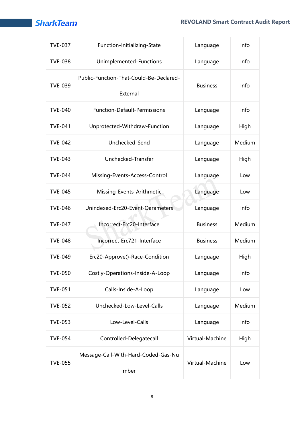| <b>TVE-037</b> | Function-Initializing-State                         | Language        | Info   |
|----------------|-----------------------------------------------------|-----------------|--------|
| <b>TVE-038</b> | Unimplemented-Functions                             | Language        | Info   |
| <b>TVE-039</b> | Public-Function-That-Could-Be-Declared-<br>External | <b>Business</b> | Info   |
| <b>TVE-040</b> | <b>Function-Default-Permissions</b>                 | Language        | Info   |
| <b>TVE-041</b> | Unprotected-Withdraw-Function                       | Language        | High   |
| <b>TVE-042</b> | Unchecked-Send                                      | Language        | Medium |
| <b>TVE-043</b> | Unchecked-Transfer                                  | Language        | High   |
| <b>TVE-044</b> | Missing-Events-Access-Control                       | Language        | Low    |
| <b>TVE-045</b> | Missing-Events-Arithmetic                           | Language        | Low    |
| <b>TVE-046</b> | Unindexed-Erc20-Event-Oarameters                    | Language        | Info   |
| <b>TVE-047</b> | Incorrect-Erc20-Interface                           | <b>Business</b> | Medium |
| <b>TVE-048</b> | Incorrect-Erc721-Interface                          | <b>Business</b> | Medium |
| <b>TVE-049</b> | Erc20-Approve()-Race-Condition                      | Language        | High   |
| <b>TVE-050</b> | Costly-Operations-Inside-A-Loop                     | Language        | Info   |
| <b>TVE-051</b> | Calls-Inside-A-Loop                                 | Language        | Low    |
| <b>TVE-052</b> | Unchecked-Low-Level-Calls                           | Language        | Medium |
| <b>TVE-053</b> | Low-Level-Calls                                     | Language        | Info   |
| <b>TVE-054</b> | Controlled-Delegatecall                             | Virtual-Machine | High   |
| <b>TVE-055</b> | Message-Call-With-Hard-Coded-Gas-Nu<br>mber         | Virtual-Machine | Low    |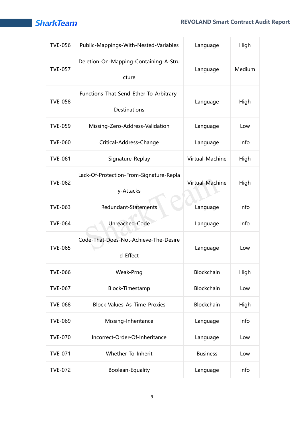#### **REVOLAND Smart Contract Audit Report**

| <b>TVE-056</b> | Public-Mappings-With-Nested-Variables                   | Language        | High   |
|----------------|---------------------------------------------------------|-----------------|--------|
| <b>TVE-057</b> | Deletion-On-Mapping-Containing-A-Stru<br>cture          | Language        | Medium |
| <b>TVE-058</b> | Functions-That-Send-Ether-To-Arbitrary-<br>Destinations | Language        | High   |
| <b>TVE-059</b> | Missing-Zero-Address-Validation                         | Language        | Low    |
| <b>TVE-060</b> | Critical-Address-Change                                 | Language        | Info   |
| <b>TVE-061</b> | Signature-Replay                                        | Virtual-Machine | High   |
| <b>TVE-062</b> | Lack-Of-Protection-From-Signature-Repla<br>y-Attacks    | Virtual-Machine | High   |
| <b>TVE-063</b> | Redundant-Statements                                    | Language        | Info   |
| <b>TVE-064</b> | Unreached-Code                                          | Language        | Info   |
| <b>TVE-065</b> | Code-That-Does-Not-Achieve-The-Desire<br>d-Effect       | Language        | Low    |
| <b>TVE-066</b> | Weak-Prng                                               | Blockchain      | High   |
| <b>TVE-067</b> | <b>Block-Timestamp</b>                                  | Blockchain      | Low    |
| <b>TVE-068</b> | <b>Block-Values-As-Time-Proxies</b>                     | Blockchain      | High   |
| <b>TVE-069</b> | Missing-Inheritance                                     | Language        | Info   |
| <b>TVE-070</b> | Incorrect-Order-Of-Inheritance                          | Language        | Low    |
| <b>TVE-071</b> | Whether-To-Inherit                                      | <b>Business</b> | Low    |
| <b>TVE-072</b> | Boolean-Equality                                        | Language        | Info   |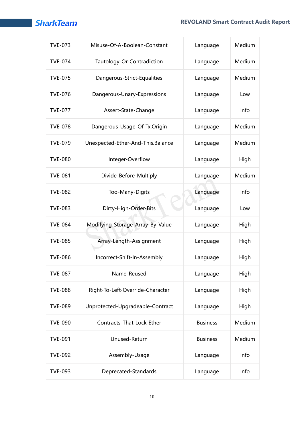| <b>TVE-073</b> | Misuse-Of-A-Boolean-Constant      | Language        | Medium |
|----------------|-----------------------------------|-----------------|--------|
| <b>TVE-074</b> | Tautology-Or-Contradiction        | Language        | Medium |
| <b>TVE-075</b> | Dangerous-Strict-Equalities       | Language        | Medium |
| <b>TVE-076</b> | Dangerous-Unary-Expressions       | Language        | Low    |
| <b>TVE-077</b> | Assert-State-Change               | Language        | Info   |
| <b>TVE-078</b> | Dangerous-Usage-Of-Tx.Origin      | Language        | Medium |
| <b>TVE-079</b> | Unexpected-Ether-And-This.Balance | Language        | Medium |
| <b>TVE-080</b> | Integer-Overflow                  | Language        | High   |
| <b>TVE-081</b> | Divide-Before-Multiply            | Language        | Medium |
| <b>TVE-082</b> | Too-Many-Digits                   | Language        | Info   |
| <b>TVE-083</b> | Dirty-High-Order-Bits             | Language        | Low    |
| <b>TVE-084</b> | Modifying-Storage-Array-By-Value  | Language        | High   |
| <b>TVE-085</b> | Array-Length-Assignment           | Language        | High   |
| <b>TVE-086</b> | Incorrect-Shift-In-Assembly       | Language        | High   |
| <b>TVE-087</b> | Name-Reused                       | Language        | High   |
| <b>TVE-088</b> | Right-To-Left-Override-Character  | Language        | High   |
| <b>TVE-089</b> | Unprotected-Upgradeable-Contract  | Language        | High   |
| <b>TVE-090</b> | Contracts-That-Lock-Ether         | <b>Business</b> | Medium |
| <b>TVE-091</b> | Unused-Return                     | <b>Business</b> | Medium |
| <b>TVE-092</b> | Assembly-Usage                    | Language        | Info   |
| <b>TVE-093</b> | Deprecated-Standards              | Language        | Info   |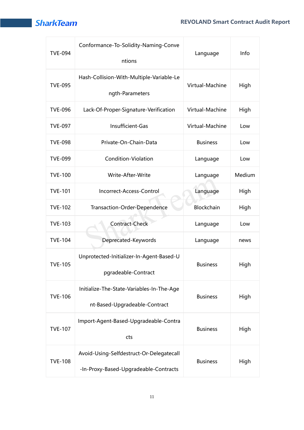

| <b>TVE-094</b> | Conformance-To-Solidity-Naming-Conve<br>ntions                                    | Language        | Info   |
|----------------|-----------------------------------------------------------------------------------|-----------------|--------|
| <b>TVE-095</b> | Hash-Collision-With-Multiple-Variable-Le<br>ngth-Parameters                       | Virtual-Machine | High   |
| <b>TVE-096</b> | Lack-Of-Proper-Signature-Verification                                             | Virtual-Machine | High   |
| <b>TVE-097</b> | Insufficient-Gas                                                                  | Virtual-Machine | Low    |
| <b>TVE-098</b> | Private-On-Chain-Data                                                             | <b>Business</b> | Low    |
| <b>TVE-099</b> | Condition-Violation                                                               | Language        | Low    |
| <b>TVE-100</b> | Write-After-Write                                                                 | Language        | Medium |
| <b>TVE-101</b> | Incorrect-Access-Control                                                          | Language        | High   |
| <b>TVE-102</b> | Transaction-Order-Dependence                                                      | Blockchain      | High   |
| <b>TVE-103</b> | <b>Contract-Check</b>                                                             | Language        | Low    |
| <b>TVE-104</b> | Deprecated-Keywords                                                               | Language        | news   |
| <b>TVE-105</b> | Unprotected-Initializer-In-Agent-Based-U<br>pgradeable-Contract                   | <b>Business</b> | High   |
| <b>TVE-106</b> | Initialize-The-State-Variables-In-The-Age<br>nt-Based-Upgradeable-Contract        | <b>Business</b> | High   |
| <b>TVE-107</b> | Import-Agent-Based-Upgradeable-Contra<br>cts                                      | <b>Business</b> | High   |
| <b>TVE-108</b> | Avoid-Using-Selfdestruct-Or-Delegatecall<br>-In-Proxy-Based-Upgradeable-Contracts | <b>Business</b> | High   |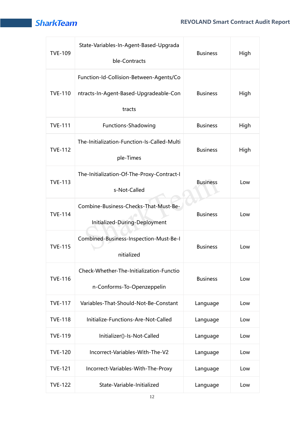| <b>TVE-109</b> | State-Variables-In-Agent-Based-Upgrada<br>ble-Contracts                                     | <b>Business</b> | High |
|----------------|---------------------------------------------------------------------------------------------|-----------------|------|
| <b>TVE-110</b> | Function-Id-Collision-Between-Agents/Co<br>ntracts-In-Agent-Based-Upgradeable-Con<br>tracts | <b>Business</b> | High |
| <b>TVE-111</b> | <b>Functions-Shadowing</b>                                                                  | <b>Business</b> | High |
| <b>TVE-112</b> | The-Initialization-Function-Is-Called-Multi<br>ple-Times                                    | <b>Business</b> | High |
| <b>TVE-113</b> | The-Initialization-Of-The-Proxy-Contract-I<br>s-Not-Called                                  | <b>Business</b> | Low  |
| <b>TVE-114</b> | Combine-Business-Checks-That-Must-Be-<br>Initialized-During-Deployment                      | <b>Business</b> | Low  |
| <b>TVE-115</b> | Combined-Business-Inspection-Must-Be-I<br>nitialized                                        | <b>Business</b> | Low  |
| <b>TVE-116</b> | Check-Whether-The-Initialization-Functio<br>n-Conforms-To-Openzeppelin                      | <b>Business</b> | Low  |
| <b>TVE-117</b> | Variables-That-Should-Not-Be-Constant                                                       | Language        | Low  |
| <b>TVE-118</b> | Initialize-Functions-Are-Not-Called                                                         | Language        | Low  |
| <b>TVE-119</b> | Initializer()-Is-Not-Called                                                                 | Language        | Low  |
| <b>TVE-120</b> | Incorrect-Variables-With-The-V2                                                             | Language        | Low  |
| <b>TVE-121</b> | Incorrect-Variables-With-The-Proxy                                                          | Language        | Low  |
| <b>TVE-122</b> | State-Variable-Initialized                                                                  | Language        | Low  |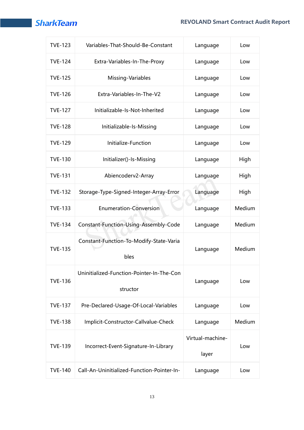### **REVOLAND Smart Contract Audit Report**

| <b>TVE-123</b> | Variables-That-Should-Be-Constant                     | Language         | Low    |
|----------------|-------------------------------------------------------|------------------|--------|
| <b>TVE-124</b> | Extra-Variables-In-The-Proxy                          | Language         | Low    |
| <b>TVE-125</b> | Missing-Variables                                     | Language         | Low    |
| <b>TVE-126</b> | Extra-Variables-In-The-V2                             | Language         | Low    |
| <b>TVE-127</b> | Initializable-Is-Not-Inherited                        | Language         | Low    |
| <b>TVE-128</b> | Initializable-Is-Missing                              | Language         | Low    |
| <b>TVE-129</b> | Initialize-Function                                   | Language         | Low    |
| <b>TVE-130</b> | Initializer()-Is-Missing                              | Language         | High   |
| <b>TVE-131</b> | Abiencoderv2-Array                                    | Language         | High   |
| <b>TVE-132</b> | Storage-Type-Signed-Integer-Array-Error               | Language         | High   |
| <b>TVE-133</b> | <b>Enumeration-Conversion</b>                         | Language         | Medium |
| <b>TVE-134</b> | Constant-Function-Using-Assembly-Code                 | Language         | Medium |
| <b>TVE-135</b> | Constant-Function-To-Modify-State-Varia<br>bles       | Language         | Medium |
| <b>TVE-136</b> | Uninitialized-Function-Pointer-In-The-Con<br>structor | Language         | Low    |
| <b>TVE-137</b> | Pre-Declared-Usage-Of-Local-Variables                 | Language         | Low    |
| <b>TVE-138</b> | Implicit-Constructor-Callvalue-Check                  | Language         | Medium |
| <b>TVE-139</b> |                                                       | Virtual-machine- |        |
|                | Incorrect-Event-Signature-In-Library                  | layer            | Low    |
| <b>TVE-140</b> | Call-An-Uninitialized-Function-Pointer-In-            | Language         | Low    |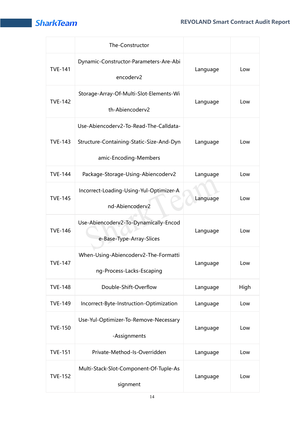|                | The-Constructor                                                                                             |          |      |
|----------------|-------------------------------------------------------------------------------------------------------------|----------|------|
| <b>TVE-141</b> | Dynamic-Constructor-Parameters-Are-Abi<br>encoderv2                                                         | Language | Low  |
| <b>TVE-142</b> | Storage-Array-Of-Multi-Slot-Elements-Wi<br>th-Abiencoderv2                                                  | Language | Low  |
| <b>TVE-143</b> | Use-Abiencoderv2-To-Read-The-Calldata-<br>Structure-Containing-Static-Size-And-Dyn<br>amic-Encoding-Members | Language | Low  |
| <b>TVE-144</b> | Package-Storage-Using-Abiencoderv2                                                                          | Language | Low  |
| <b>TVE-145</b> | Incorrect-Loading-Using-Yul-Optimizer-A<br>nd-Abiencoderv2                                                  | Language | Low  |
| <b>TVE-146</b> | Use-Abiencoderv2-To-Dynamically-Encod<br>e-Base-Type-Array-Slices                                           | Language | Low  |
| <b>TVE-147</b> | When-Using-Abiencoderv2-The-Formatti<br>ng-Process-Lacks-Escaping                                           | Language | Low  |
| <b>TVE-148</b> | Double-Shift-Overflow                                                                                       | Language | High |
| <b>TVE-149</b> | Incorrect-Byte-Instruction-Optimization                                                                     | Language | Low  |
| <b>TVE-150</b> | Use-Yul-Optimizer-To-Remove-Necessary<br>-Assignments                                                       | Language | Low  |
| <b>TVE-151</b> | Private-Method-Is-Overridden                                                                                | Language | Low  |
| <b>TVE-152</b> | Multi-Stack-Slot-Component-Of-Tuple-As<br>signment                                                          | Language | Low  |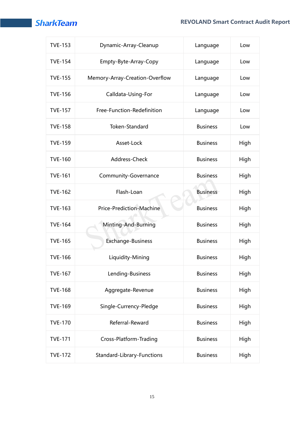| <b>TVE-153</b> | Dynamic-Array-Cleanup                   | Language        | Low  |
|----------------|-----------------------------------------|-----------------|------|
| <b>TVE-154</b> | Empty-Byte-Array-Copy<br>Language       |                 | Low  |
| <b>TVE-155</b> | Memory-Array-Creation-Overflow          | Language        | Low  |
| <b>TVE-156</b> | Calldata-Using-For                      | Language        | Low  |
| <b>TVE-157</b> | Free-Function-Redefinition<br>Language  |                 | Low  |
| <b>TVE-158</b> | Token-Standard                          | <b>Business</b> | Low  |
| <b>TVE-159</b> | Asset-Lock<br><b>Business</b>           |                 | High |
| <b>TVE-160</b> | Address-Check                           | <b>Business</b> | High |
| <b>TVE-161</b> | <b>Business</b><br>Community-Governance |                 | High |
| <b>TVE-162</b> | Flash-Loan                              | <b>Business</b> | High |
| <b>TVE-163</b> | Price-Prediction-Machine                | <b>Business</b> | High |
| <b>TVE-164</b> | Minting-And-Burning                     | <b>Business</b> | High |
| <b>TVE-165</b> | Exchange-Business                       | <b>Business</b> | High |
| <b>TVE-166</b> | Liquidity-Mining<br><b>Business</b>     |                 | High |
| <b>TVE-167</b> | Lending-Business                        | <b>Business</b> | High |
| <b>TVE-168</b> | Aggregate-Revenue                       | <b>Business</b> | High |
| <b>TVE-169</b> | Single-Currency-Pledge                  | <b>Business</b> | High |
| <b>TVE-170</b> | Referral-Reward                         | <b>Business</b> | High |
| <b>TVE-171</b> | Cross-Platform-Trading                  | <b>Business</b> | High |
| <b>TVE-172</b> | Standard-Library-Functions              | <b>Business</b> | High |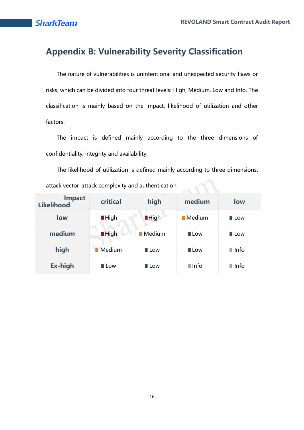## **Appendix B: Vulnerability Severity Classification**

The nature of vulnerabilities is unintentional and unexpected security flaws or risks, which can be divided into four threat levels: High, Medium, Low and Info. The classification is mainly based on the impact, likelihood of utilization and other factors.

The impact is defined mainly according to the three dimensions of confidentiality, integrity and availability;

The likelihood of utilization is defined mainly according to three dimensions:

attack vector, attack complexity and authentication.

| <b>Impact</b><br><b>Likelihood</b> | critical            | high                  | medium                | <b>low</b>          |
|------------------------------------|---------------------|-----------------------|-----------------------|---------------------|
| low                                | $\blacksquare$ High | <b>High</b>           | $\blacksquare$ Medium | $\blacksquare$ Low  |
| medium                             | <b>High</b>         | $\blacksquare$ Medium | $\blacksquare$ Low    | $\blacksquare$ Low  |
| high                               | Medium              | $\blacksquare$ Low    | $\blacksquare$ Low    | $\blacksquare$ Info |
| Ex-high                            | $\blacksquare$ Low  | $\blacksquare$ Low    | $\blacksquare$ Info   | $\blacksquare$ Info |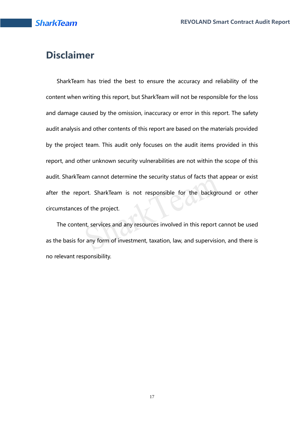## **Disclaimer**

SharkTeam has tried the best to ensure the accuracy and reliability of the content when writing this report, but SharkTeam will not be responsible for the loss and damage caused by the omission, inaccuracy or error in this report. The safety audit analysis and other contents of this report are based on the materials provided by the project team. This audit only focuses on the audit items provided in this report, and other unknown security vulnerabilities are not within the scope of this audit. SharkTeam cannot determine the security status of facts that appear or exist after the report. SharkTeam is not responsible for the background or other circumstances of the project.

The content, services and any resources involved in this report cannot be used as the basis for any form of investment, taxation, law, and supervision, and there is no relevant responsibility.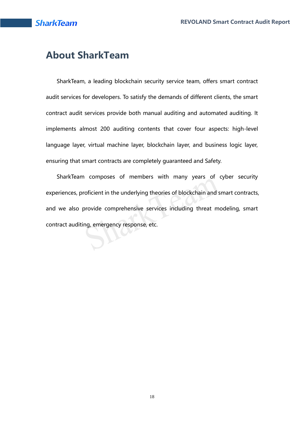## **About SharkTeam**

SharkTeam, a leading blockchain security service team, offers smart contract audit services for developers. To satisfy the demands of different clients, the smart contract audit services provide both manual auditing and automated auditing. It implements almost 200 auditing contents that cover four aspects: high-level language layer, virtual machine layer, blockchain layer, and business logic layer, ensuring that smart contracts are completely guaranteed and Safety.

SharkTeam composes of members with many years of cyber security experiences, proficient in the underlying theories of blockchain and smart contracts, and we also provide comprehensive services including threat modeling, smart contract auditing, emergency response, etc.